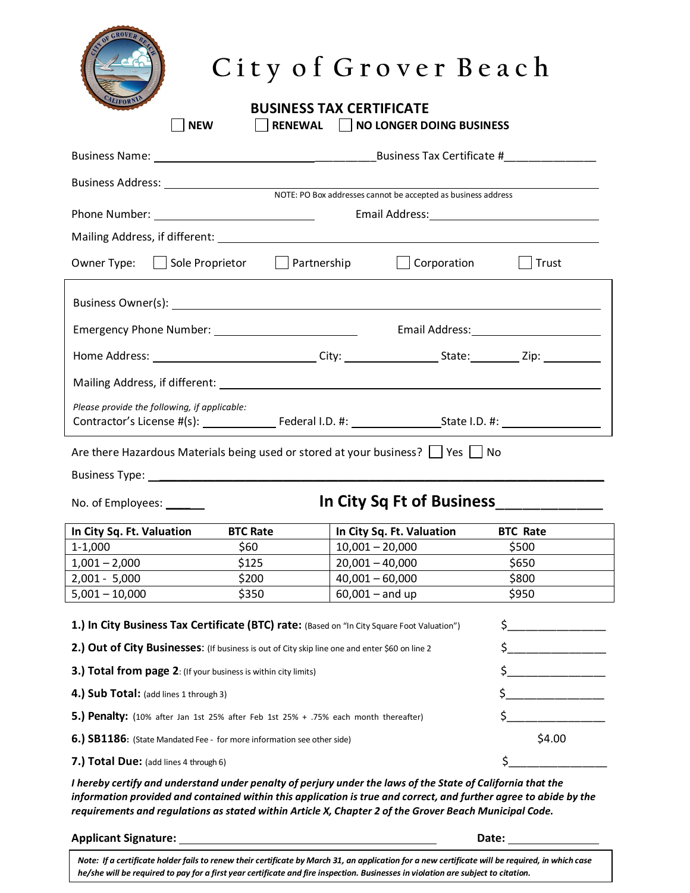|                                                                                                                                                                    | City of Grover Beach |                   |                                    |                                       |  |  |  |
|--------------------------------------------------------------------------------------------------------------------------------------------------------------------|----------------------|-------------------|------------------------------------|---------------------------------------|--|--|--|
| <b>BUSINESS TAX CERTIFICATE</b><br><b>NEW</b><br>RENEWAL     NO LONGER DOING BUSINESS                                                                              |                      |                   |                                    |                                       |  |  |  |
|                                                                                                                                                                    |                      |                   |                                    |                                       |  |  |  |
|                                                                                                                                                                    |                      |                   |                                    |                                       |  |  |  |
|                                                                                                                                                                    |                      |                   |                                    |                                       |  |  |  |
|                                                                                                                                                                    |                      |                   |                                    |                                       |  |  |  |
|                                                                                                                                                                    |                      |                   |                                    |                                       |  |  |  |
| Owner Type: Sole Proprietor Solution Partnership Solution Corporation                                                                                              |                      |                   |                                    | $\vert$ Trust                         |  |  |  |
|                                                                                                                                                                    |                      |                   |                                    |                                       |  |  |  |
|                                                                                                                                                                    |                      |                   |                                    |                                       |  |  |  |
|                                                                                                                                                                    |                      |                   |                                    |                                       |  |  |  |
|                                                                                                                                                                    |                      |                   |                                    |                                       |  |  |  |
|                                                                                                                                                                    |                      |                   |                                    |                                       |  |  |  |
| Please provide the following, if applicable:                                                                                                                       |                      |                   |                                    |                                       |  |  |  |
|                                                                                                                                                                    |                      |                   |                                    |                                       |  |  |  |
| Are there Hazardous Materials being used or stored at your business? $\Box$ Yes $\Box$ No                                                                          |                      |                   |                                    |                                       |  |  |  |
|                                                                                                                                                                    |                      |                   |                                    |                                       |  |  |  |
| No. of Employees: ______                                                                                                                                           |                      |                   |                                    | In City Sq Ft of Business____________ |  |  |  |
| In City Sq. Ft. Valuation                                                                                                                                          | <b>BTC Rate</b>      |                   | In City Sq. Ft. Valuation BTC Rate |                                       |  |  |  |
| $1 - 1,000$                                                                                                                                                        | \$60                 | $10,001 - 20,000$ |                                    | \$500                                 |  |  |  |
| $1,001 - 2,000$                                                                                                                                                    | \$125                | $20,001 - 40,000$ |                                    | \$650                                 |  |  |  |
| $2,001 - 5,000$                                                                                                                                                    | \$200                | $40,001 - 60,000$ |                                    | \$800                                 |  |  |  |
| $5,001 - 10,000$<br>\$350<br>$60,001 -$ and up<br>\$950<br>$\sharp$<br>1.) In City Business Tax Certificate (BTC) rate: (Based on "In City Square Foot Valuation") |                      |                   |                                    |                                       |  |  |  |
| 2.) Out of City Businesses: (If business is out of City skip line one and enter \$60 on line 2                                                                     |                      |                   |                                    |                                       |  |  |  |
| 3.) Total from page 2: (If your business is within city limits)                                                                                                    |                      |                   |                                    | \$                                    |  |  |  |
| 4.) Sub Total: (add lines 1 through 3)                                                                                                                             |                      |                   |                                    | $\sharp$                              |  |  |  |
| 5.) Penalty: (10% after Jan 1st 25% after Feb 1st 25% + .75% each month thereafter)                                                                                |                      |                   |                                    | \$                                    |  |  |  |
| 6.) SB1186: (State Mandated Fee - for more information see other side)                                                                                             |                      |                   |                                    | \$4.00                                |  |  |  |
| 7.) Total Due: (add lines 4 through 6)                                                                                                                             |                      |                   |                                    | \$                                    |  |  |  |
| I hereby certify and understand under penalty of perjury under the laws of the State of California that the                                                        |                      |                   |                                    |                                       |  |  |  |

*information provided and contained within this application is true and correct, and further agree to abide by the requirements and regulations as stated within Article X, Chapter 2 of the Grover Beach Municipal Code.* 

| <b>Applicant Signature:</b>                                                                                                                      | Date: |  |  |  |
|--------------------------------------------------------------------------------------------------------------------------------------------------|-------|--|--|--|
| Note: If a certificate holder fails to renew their certificate by March 31, an application for a new certificate will be required, in which case |       |  |  |  |
| he/she will be required to pay for a first year certificate and fire inspection. Businesses in violation are subject to citation.                |       |  |  |  |